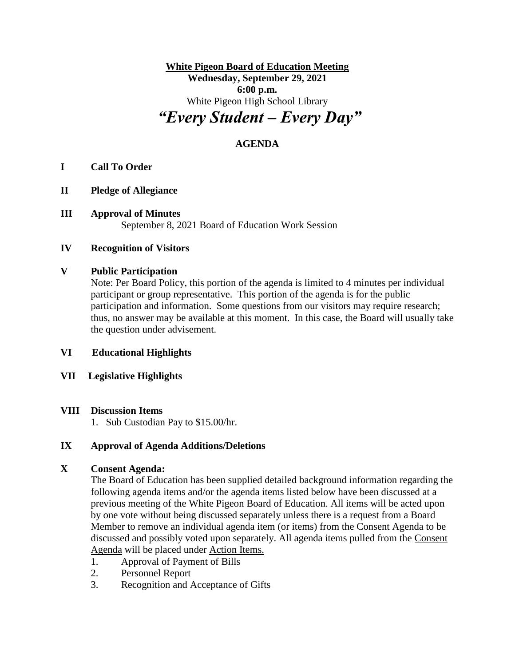# **White Pigeon Board of Education Meeting Wednesday, September 29, 2021 6:00 p.m.** White Pigeon High School Library *"Every Student – Every Day"*

## **AGENDA**

### **I Call To Order**

### **II Pledge of Allegiance**

**III Approval of Minutes** September 8, 2021 Board of Education Work Session

### **IV Recognition of Visitors**

### **V Public Participation**

Note: Per Board Policy, this portion of the agenda is limited to 4 minutes per individual participant or group representative. This portion of the agenda is for the public participation and information. Some questions from our visitors may require research; thus, no answer may be available at this moment. In this case, the Board will usually take the question under advisement.

#### **VI Educational Highlights**

### **VII Legislative Highlights**

### **VIII Discussion Items**

1. Sub Custodian Pay to \$15.00/hr.

#### **IX Approval of Agenda Additions/Deletions**

### **X Consent Agenda:**

The Board of Education has been supplied detailed background information regarding the following agenda items and/or the agenda items listed below have been discussed at a previous meeting of the White Pigeon Board of Education. All items will be acted upon by one vote without being discussed separately unless there is a request from a Board Member to remove an individual agenda item (or items) from the Consent Agenda to be discussed and possibly voted upon separately. All agenda items pulled from the Consent Agenda will be placed under Action Items.

- 1. Approval of Payment of Bills
- 2. Personnel Report
- 3. Recognition and Acceptance of Gifts